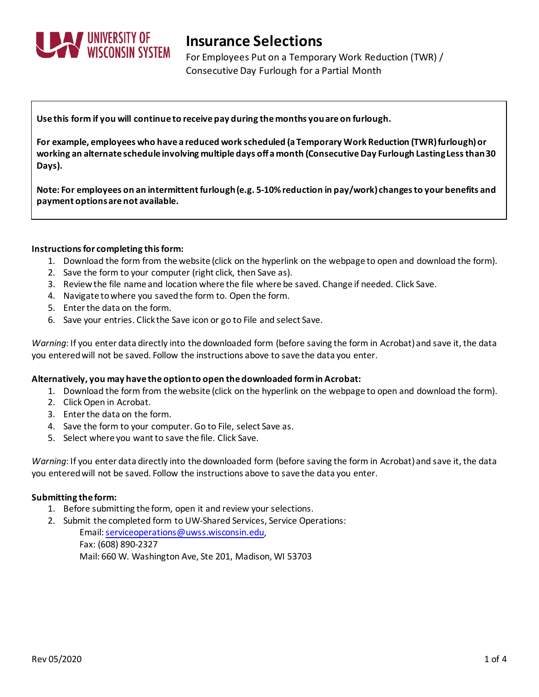

For Employees Put on a Temporary Work Reduction (TWR) / Consecutive Day Furlough for a Partial Month

**Use this form if you will continue to receive pay during the months you are on furlough.**

**For example, employees who have a reduced work scheduled (a Temporary Work Reduction (TWR)furlough) or working an alternate schedule involving multiple days off a month (Consecutive Day Furlough Lasting Less than 30 Days).**

**Note: For employees on an intermittent furlough (e.g. 5-10% reduction in pay/work) changes to your benefits and payment options are not available.**

### **Instructions for completing this form:**

- 1. Download the form from the website (click on the hyperlink on the webpage to open and download the form).
- 2. Save the form to your computer (right click, then Save as).
- 3. Review the file name and location where the file where be saved. Change if needed. Click Save.
- 4. Navigate to where you saved the form to. Open the form.
- 5. Enter the data on the form.
- 6. Save your entries. Click the Save icon or go to File and select Save.

*Warning*: If you enter data directly into the downloaded form (before saving the form in Acrobat) and save it, the data you entered will not be saved. Follow the instructions above to save the data you enter.

#### **Alternatively, you may have the option to open the downloaded form in Acrobat:**

- 1. Download the form from the website (click on the hyperlink on the webpage to open and download the form).
- 2. Click Open in Acrobat.
- 3. Enter the data on the form.
- 4. Save the form to your computer. Go to File, select Save as.
- 5. Select where you want to save the file. Click Save.

*Warning*: If you enter data directly into the downloaded form (before saving the form in Acrobat) and save it, the data you entered will not be saved. Follow the instructions above to save the data you enter.

#### **Submitting the form:**

- 1. Before submitting the form, open it and review your selections.
- 2. Submit the completed form to UW-Shared Services, Service Operations: Email[: serviceoperations@uwss.wisconsin.edu](mailto:serviceoperations@uwss.wisconsin.edu), Fax: (608) 890-2327 Mail: 660 W. Washington Ave, Ste 201, Madison, WI 53703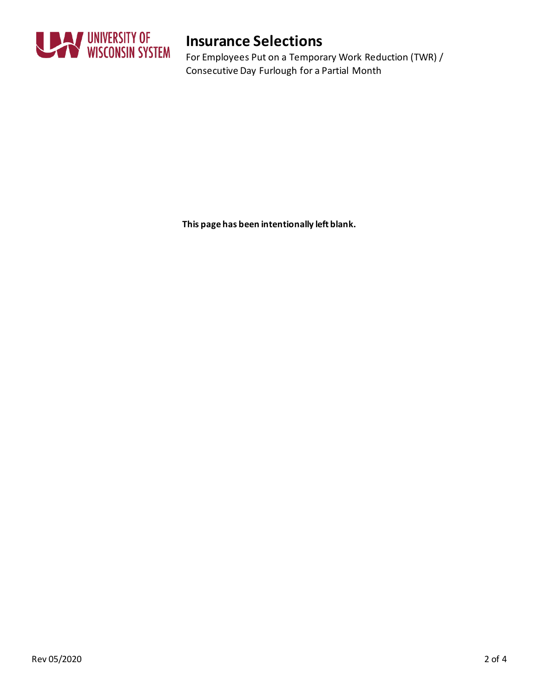

For Employees Put on a Temporary Work Reduction (TWR) / Consecutive Day Furlough for a Partial Month

**This page has been intentionally left blank.**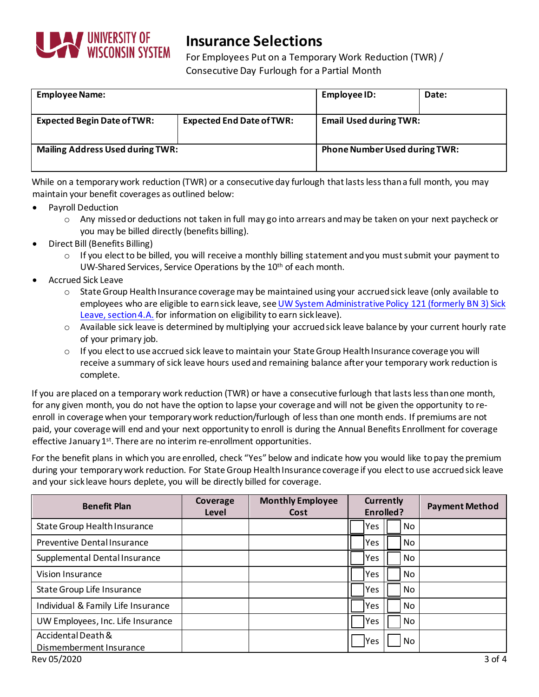

For Employees Put on a Temporary Work Reduction (TWR) / Consecutive Day Furlough for a Partial Month

| <b>Employee Name:</b>                                                  |  | Employee ID:                         | Date: |  |
|------------------------------------------------------------------------|--|--------------------------------------|-------|--|
| <b>Expected End Date of TWR:</b><br><b>Expected Begin Date of TWR:</b> |  | <b>Email Used during TWR:</b>        |       |  |
| <b>Mailing Address Used during TWR:</b>                                |  | <b>Phone Number Used during TWR:</b> |       |  |

While on a temporary work reduction (TWR) or a consecutive day furlough that lasts less than a full month, you may maintain your benefit coverages as outlined below:

- Payroll Deduction
	- o Any missed or deductions not taken in full may go into arrears and may be taken on your next paycheck or you may be billed directly (benefits billing).
- Direct Bill (Benefits Billing)
	- $\circ$  If you elect to be billed, you will receive a monthly billing statement and you must submit your payment to UW-Shared Services, Service Operations by the 10<sup>th</sup> of each month.
- Accrued Sick Leave
	- $\circ$  State Group Health Insurance coverage may be maintained using your accrued sick leave (only available to employees who are eligible to earn sick leave, se[e UW System Administrative Policy 121 \(formerly BN 3\) Sick](https://www.wisconsin.edu/uw-policies/uw-system-administrative-policies/sick-leave/) [Leave, section 4.A.](https://www.wisconsin.edu/uw-policies/uw-system-administrative-policies/sick-leave/) for information on eligibility to earn sick leave).
	- $\circ$  Available sick leave is determined by multiplying your accrued sick leave balance by your current hourly rate of your primary job.
	- o If you elect to use accrued sick leave to maintain your State Group Health Insurance coverage you will receive a summary of sick leave hours used and remaining balance after your temporary work reduction is complete.

If you are placed on a temporary work reduction (TWR) or have a consecutive furlough that lasts less than one month, for any given month, you do not have the option to lapse your coverage and will not be given the opportunity to reenroll in coverage when your temporary work reduction/furlough of less than one month ends. If premiums are not paid, your coverage will end and your next opportunity to enroll is during the Annual Benefits Enrollment for coverage effective January 1<sup>st</sup>. There are no interim re-enrollment opportunities.

For the benefit plans in which you are enrolled, check "Yes" below and indicate how you would like to pay the premium during your temporary work reduction. For State Group Health Insurance coverage if you elect to use accrued sick leave and your sick leave hours deplete, you will be directly billed for coverage.

| <b>Benefit Plan</b>                           | Coverage<br>Level | <b>Monthly Employee</b><br>Cost |            | <b>Currently</b><br>Enrolled? | <b>Payment Method</b> |
|-----------------------------------------------|-------------------|---------------------------------|------------|-------------------------------|-----------------------|
| State Group Health Insurance                  |                   |                                 | lYes.      | No                            |                       |
| <b>Preventive Dental Insurance</b>            |                   |                                 | Yes        | No                            |                       |
| Supplemental Dental Insurance                 |                   |                                 | <b>Yes</b> | No                            |                       |
| <b>Vision Insurance</b>                       |                   |                                 | Yes        | No                            |                       |
| State Group Life Insurance                    |                   |                                 | Yes        | No                            |                       |
| Individual & Family Life Insurance            |                   |                                 | lYes       | No                            |                       |
| UW Employees, Inc. Life Insurance             |                   |                                 | Yes        | No                            |                       |
| Accidental Death &<br>Dismemberment Insurance |                   |                                 | Yes        | No                            |                       |
| Rev 05/2020                                   |                   |                                 |            |                               | 3 of 4                |